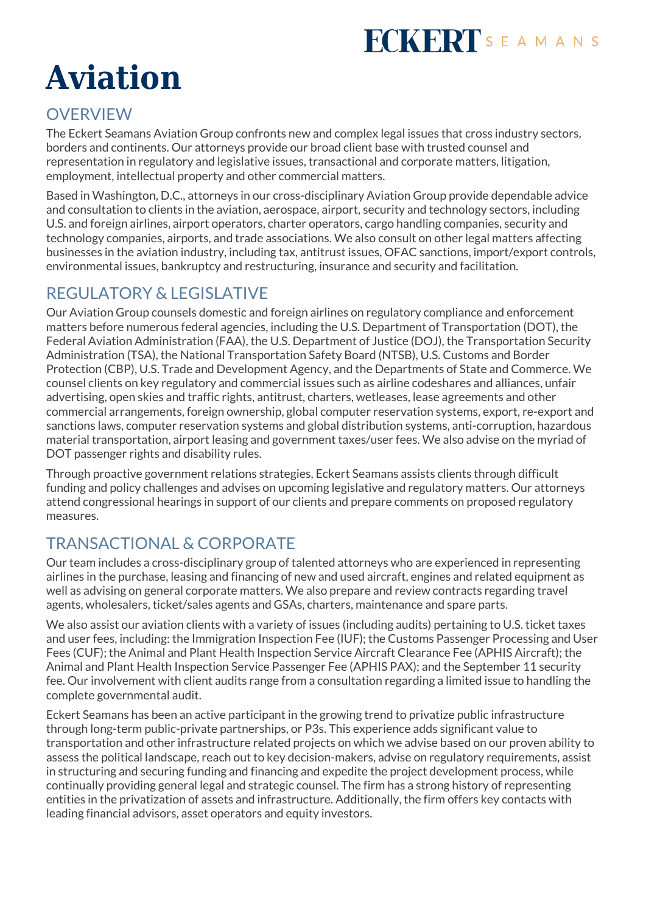# **FCKERT**SEAMANS

# **Aviation**

#### **OVERVIEW**

The Eckert Seamans Aviation Group confronts new and complex legal issues that cross industry sectors, borders and continents. Our attorneys provide our broad client base with trusted counsel and representation in regulatory and legislative issues, transactional and corporate matters, litigation, employment, intellectual property and other commercial matters.

Based in Washington, D.C., attorneys in our cross-disciplinary Aviation Group provide dependable advice and consultation to clients in the aviation, aerospace, airport, security and technology sectors, including U.S. and foreign airlines, airport operators, charter operators, cargo handling companies, security and technology companies, airports, and trade associations. We also consult on other legal matters affecting businesses in the aviation industry, including tax, antitrust issues, OFAC sanctions, import/export controls, environmental issues, bankruptcy and restructuring, insurance and security and facilitation.

## REGULATORY & LEGISLATIVE

Our Aviation Group counsels domestic and foreign airlines on regulatory compliance and enforcement matters before numerous federal agencies, including the U.S. Department of Transportation (DOT), the Federal Aviation Administration (FAA), the U.S. Department of Justice (DOJ), the Transportation Security Administration (TSA), the National Transportation Safety Board (NTSB), U.S. Customs and Border Protection (CBP), U.S. Trade and Development Agency, and the Departments of State and Commerce. We counsel clients on key regulatory and commercial issues such as airline codeshares and alliances, unfair advertising, open skies and traffic rights, antitrust, charters, wetleases, lease agreements and other commercial arrangements, foreign ownership, global computer reservation systems, export, re-export and sanctions laws, computer reservation systems and global distribution systems, anti-corruption, hazardous material transportation, airport leasing and government taxes/user fees. We also advise on the myriad of DOT passenger rights and disability rules.

Through proactive government relations strategies, Eckert Seamans assists clients through difficult funding and policy challenges and advises on upcoming legislative and regulatory matters. Our attorneys attend congressional hearings in support of our clients and prepare comments on proposed regulatory measures.

# TRANSACTIONAL & CORPORATE

Our team includes a cross-disciplinary group of talented attorneys who are experienced in representing airlines in the purchase, leasing and financing of new and used aircraft, engines and related equipment as well as advising on general corporate matters. We also prepare and review contracts regarding travel agents, wholesalers, ticket/sales agents and GSAs, charters, maintenance and spare parts.

We also assist our aviation clients with a variety of issues (including audits) pertaining to U.S. ticket taxes and user fees, including: the Immigration Inspection Fee (IUF); the Customs Passenger Processing and User Fees (CUF); the Animal and Plant Health Inspection Service Aircraft Clearance Fee (APHIS Aircraft); the Animal and Plant Health Inspection Service Passenger Fee (APHIS PAX); and the September 11 security fee. Our involvement with client audits range from a consultation regarding a limited issue to handling the complete governmental audit.

Eckert Seamans has been an active participant in the growing trend to privatize public infrastructure through long-term public-private partnerships, or P3s. This experience adds significant value to transportation and other infrastructure related projects on which we advise based on our proven ability to assess the political landscape, reach out to key decision-makers, advise on regulatory requirements, assist in structuring and securing funding and financing and expedite the project development process, while continually providing general legal and strategic counsel. The firm has a strong history of representing entities in the privatization of assets and infrastructure. Additionally, the firm offers key contacts with leading financial advisors, asset operators and equity investors.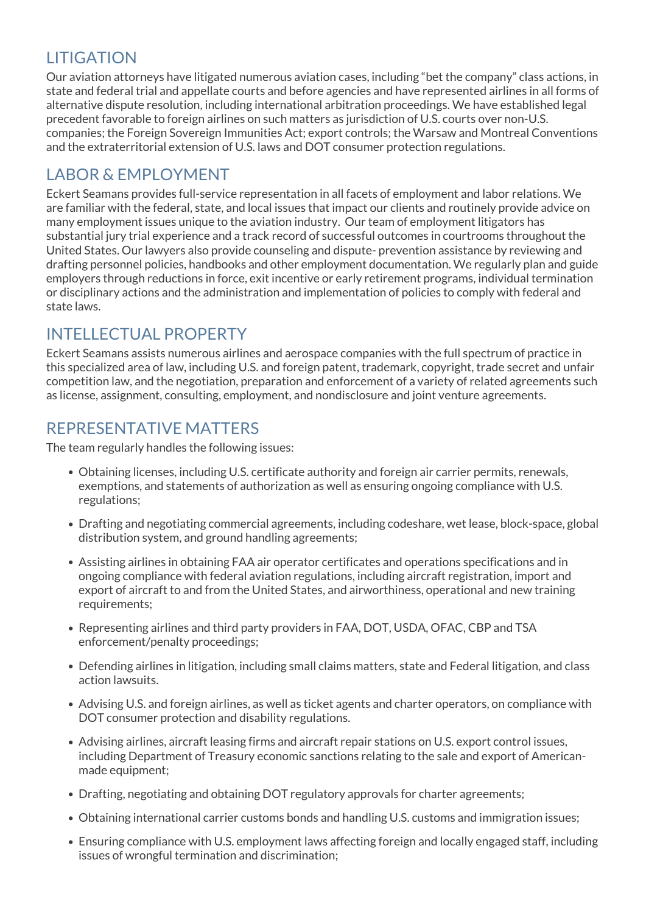## **LITIGATION**

Our aviation attorneys have litigated numerous aviation cases, including "bet the company" class actions, in state and federal trial and appellate courts and before agencies and have represented airlines in all forms of alternative dispute resolution, including international arbitration proceedings. We have established legal precedent favorable to foreign airlines on such matters as jurisdiction of U.S. courts over non-U.S. companies; the Foreign Sovereign Immunities Act; export controls; the Warsaw and Montreal Conventions and the extraterritorial extension of U.S. laws and DOT consumer protection regulations.

#### LABOR & EMPLOYMENT

Eckert Seamans provides full-service representation in all facets of employment and labor relations. We are familiar with the federal, state, and local issues that impact our clients and routinely provide advice on many employment issues unique to the aviation industry. Our team of employment litigators has substantial jury trial experience and a track record of successful outcomes in courtrooms throughout the United States. Our lawyers also provide counseling and dispute- prevention assistance by reviewing and drafting personnel policies, handbooks and other employment documentation. We regularly plan and guide employers through reductions in force, exit incentive or early retirement programs, individual termination or disciplinary actions and the administration and implementation of policies to comply with federal and state laws.

#### INTELLECTUAL PROPERTY

Eckert Seamans assists numerous airlines and aerospace companies with the full spectrum of practice in this specialized area of law, including U.S. and foreign patent, trademark, copyright, trade secret and unfair competition law, and the negotiation, preparation and enforcement of a variety of related agreements such as license, assignment, consulting, employment, and nondisclosure and joint venture agreements.

#### REPRESENTATIVE MATTERS

The team regularly handles the following issues:

- Obtaining licenses, including U.S. certificate authority and foreign air carrier permits, renewals, exemptions, and statements of authorization as well as ensuring ongoing compliance with U.S. regulations;
- Drafting and negotiating commercial agreements, including codeshare, wet lease, block-space, global distribution system, and ground handling agreements;
- Assisting airlines in obtaining FAA air operator certificates and operations specifications and in ongoing compliance with federal aviation regulations, including aircraft registration, import and export of aircraft to and from the United States, and airworthiness, operational and new training requirements;
- Representing airlines and third party providers in FAA, DOT, USDA, OFAC, CBP and TSA enforcement/penalty proceedings;
- Defending airlines in litigation, including small claims matters, state and Federal litigation, and class action lawsuits.
- Advising U.S. and foreign airlines, as well as ticket agents and charter operators, on compliance with DOT consumer protection and disability regulations.
- Advising airlines, aircraft leasing firms and aircraft repair stations on U.S. export control issues, including Department of Treasury economic sanctions relating to the sale and export of Americanmade equipment;
- Drafting, negotiating and obtaining DOT regulatory approvals for charter agreements;
- Obtaining international carrier customs bonds and handling U.S. customs and immigration issues;
- Ensuring compliance with U.S. employment laws affecting foreign and locally engaged staff, including issues of wrongful termination and discrimination;